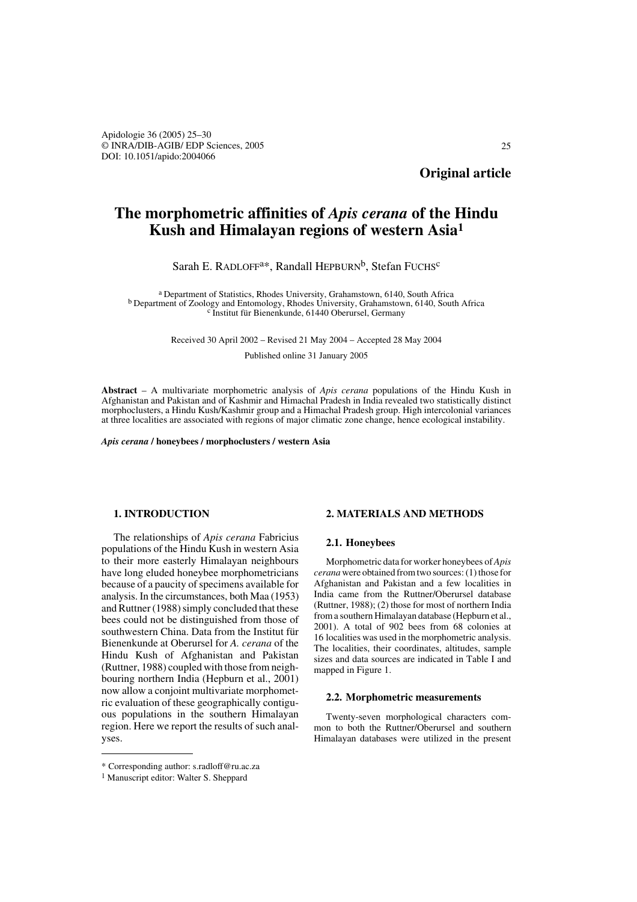**Original article**

# **The morphometric affinities of** *Apis cerana* **of the Hindu Kush and Himalayan regions of western Asia1**

Sarah E. RADLOFF<sup>a\*</sup>, Randall HEPBURN<sup>b</sup>, Stefan FUCHS<sup>c</sup>

a Department of Statistics, Rhodes University, Grahamstown, 6140, South Africa<br>b Department of Zoology and Entomology, Rhodes University, Grahamstown, 6140, South Africa<br>c Institut für Bienenkunde, 61440 Oberursel, Germany

Received 30 April 2002 – Revised 21 May 2004 – Accepted 28 May 2004

Published online 31 January 2005

**Abstract** – A multivariate morphometric analysis of *Apis cerana* populations of the Hindu Kush in Afghanistan and Pakistan and of Kashmir and Himachal Pradesh in India revealed two statistically distinct morphoclusters, a Hindu Kush/Kashmir group and a Himachal Pradesh group. High intercolonial variances at three localities are associated with regions of major climatic zone change, hence ecological instability.

*Apis cerana* **/ honeybees / morphoclusters / western Asia**

# **1. INTRODUCTION**

The relationships of *Apis cerana* Fabricius populations of the Hindu Kush in western Asia to their more easterly Himalayan neighbours have long eluded honeybee morphometricians because of a paucity of specimens available for analysis. In the circumstances, both Maa (1953) and Ruttner (1988) simply concluded that these bees could not be distinguished from those of southwestern China. Data from the Institut für Bienenkunde at Oberursel for *A. cerana* of the Hindu Kush of Afghanistan and Pakistan (Ruttner, 1988) coupled with those from neighbouring northern India (Hepburn et al., 2001) now allow a conjoint multivariate morphometric evaluation of these geographically contiguous populations in the southern Himalayan region. Here we report the results of such analyses.

## **2. MATERIALS AND METHODS**

#### **2.1. Honeybees**

Morphometric data for worker honeybees of *Apis cerana* were obtained from two sources: (1) those for Afghanistan and Pakistan and a few localities in India came from the Ruttner/Oberursel database (Ruttner, 1988); (2) those for most of northern India from a southern Himalayan database (Hepburn et al., 2001). A total of 902 bees from 68 colonies at 16 localities was used in the morphometric analysis. The localities, their coordinates, altitudes, sample sizes and data sources are indicated in Table I and mapped in Figure 1.

#### **2.2. Morphometric measurements**

Twenty-seven morphological characters common to both the Ruttner/Oberursel and southern Himalayan databases were utilized in the present

<sup>\*</sup> Corresponding author: s.radloff@ru.ac.za

<sup>1</sup> Manuscript editor: Walter S. Sheppard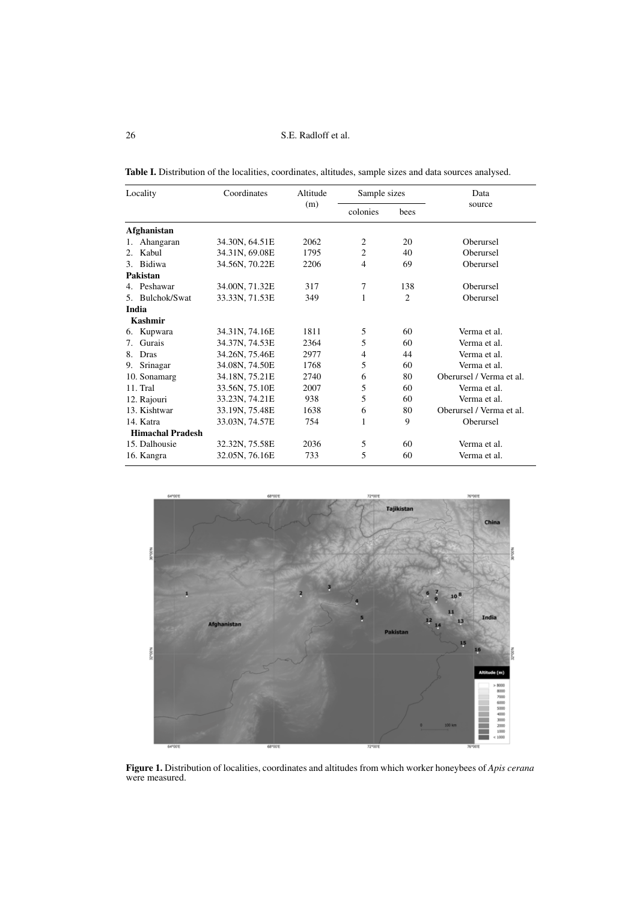| Locality                |               | Coordinates    | Altitude |                | Sample sizes   | Data                     |  |
|-------------------------|---------------|----------------|----------|----------------|----------------|--------------------------|--|
|                         |               |                | (m)      | colonies       | bees           | source                   |  |
| Afghanistan             |               |                |          |                |                |                          |  |
| 1.                      | Ahangaran     | 34.30N, 64.51E | 2062     | 2              | 20             | Oberursel                |  |
| 2.                      | Kabul         | 34.31N, 69.08E | 1795     | $\overline{2}$ | 40             | Oberursel                |  |
| 3.                      | Bidiwa        | 34.56N, 70.22E | 2206     | $\overline{4}$ | 69             | Oberursel                |  |
| Pakistan                |               |                |          |                |                |                          |  |
|                         | 4. Peshawar   | 34.00N, 71.32E | 317      | 7              | 138            | Oberursel                |  |
| 5.                      | Bulchok/Swat  | 33.33N, 71.53E | 349      | 1              | $\overline{c}$ | Oberursel                |  |
| India                   |               |                |          |                |                |                          |  |
|                         | Kashmir       |                |          |                |                |                          |  |
|                         | 6. Kupwara    | 34.31N, 74.16E | 1811     | 5              | 60             | Verma et al.             |  |
| 7.                      | Gurais        | 34.37N, 74.53E | 2364     | 5              | 60             | Verma et al.             |  |
| 8.                      | Dras          | 34.26N, 75.46E | 2977     | 4              | 44             | Verma et al.             |  |
| 9.                      | Srinagar      | 34.08N, 74.50E | 1768     | 5              | 60             | Verma et al.             |  |
|                         | 10. Sonamarg  | 34.18N, 75.21E | 2740     | 6              | 80             | Oberursel / Verma et al. |  |
|                         | 11. Tral      | 33.56N, 75.10E | 2007     | 5              | 60             | Verma et al.             |  |
|                         | 12. Rajouri   | 33.23N, 74.21E | 938      | 5              | 60             | Verma et al.             |  |
|                         | 13. Kishtwar  | 33.19N, 75.48E | 1638     | 6              | 80             | Oberursel / Verma et al. |  |
|                         | 14. Katra     | 33.03N, 74.57E | 754      | 1              | 9              | Oberursel                |  |
| <b>Himachal Pradesh</b> |               |                |          |                |                |                          |  |
|                         | 15. Dalhousie | 32.32N, 75.58E | 2036     | 5              | 60             | Verma et al.             |  |
|                         | 16. Kangra    | 32.05N, 76.16E | 733      | 5              | 60             | Verma et al.             |  |

**Table I.** Distribution of the localities, coordinates, altitudes, sample sizes and data sources analysed.



**Figure 1.** Distribution of localities, coordinates and altitudes from which worker honeybees of *Apis cerana* were measured.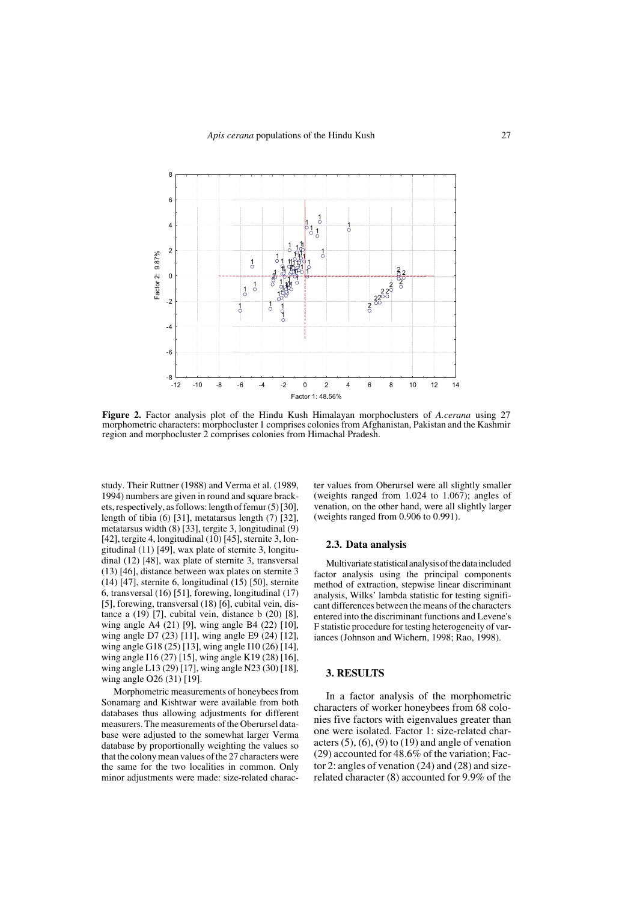

**Figure 2.** Factor analysis plot of the Hindu Kush Himalayan morphoclusters of *A.cerana* using 27 morphometric characters: morphocluster 1 comprises colonies from Afghanistan, Pakistan and the Kashmir region and morphocluster 2 comprises colonies from Himachal Pradesh.

study. Their Ruttner (1988) and Verma et al. (1989, 1994) numbers are given in round and square brackets, respectively, as follows: length of femur (5) [30], length of tibia (6) [31], metatarsus length (7) [32], metatarsus width (8) [33], tergite 3, longitudinal (9) [42], tergite 4, longitudinal (10) [45], sternite 3, longitudinal (11) [49], wax plate of sternite 3, longitudinal (12) [48], wax plate of sternite 3, transversal (13) [46], distance between wax plates on sternite 3 (14) [47], sternite 6, longitudinal (15) [50], sternite 6, transversal (16) [51], forewing, longitudinal (17) [5], forewing, transversal (18) [6], cubital vein, distance a (19) [7], cubital vein, distance b (20) [8], wing angle A4 (21) [9], wing angle B4 (22) [10], wing angle D7 (23) [11], wing angle E9 (24) [12], wing angle G18 (25) [13], wing angle I10 (26) [14], wing angle I16 (27) [15], wing angle K19 (28) [16], wing angle L13 (29) [17], wing angle N23 (30) [18], wing angle O26 (31) [19].

Morphometric measurements of honeybees from Sonamarg and Kishtwar were available from both databases thus allowing adjustments for different measurers. The measurements of the Oberursel database were adjusted to the somewhat larger Verma database by proportionally weighting the values so that the colony mean values of the 27 characters were the same for the two localities in common. Only minor adjustments were made: size-related character values from Oberursel were all slightly smaller (weights ranged from 1.024 to 1.067); angles of venation, on the other hand, were all slightly larger (weights ranged from 0.906 to 0.991).

#### **2.3. Data analysis**

Multivariate statistical analysis of the data included factor analysis using the principal components method of extraction, stepwise linear discriminant analysis, Wilks' lambda statistic for testing significant differences between the means of the characters entered into the discriminant functions and Levene's F statistic procedure for testing heterogeneity of variances (Johnson and Wichern, 1998; Rao, 1998).

## **3. RESULTS**

In a factor analysis of the morphometric characters of worker honeybees from 68 colonies five factors with eigenvalues greater than one were isolated. Factor 1: size-related characters  $(5)$ ,  $(6)$ ,  $(9)$  to  $(19)$  and angle of venation (29) accounted for 48.6% of the variation; Factor 2: angles of venation (24) and (28) and sizerelated character (8) accounted for 9.9% of the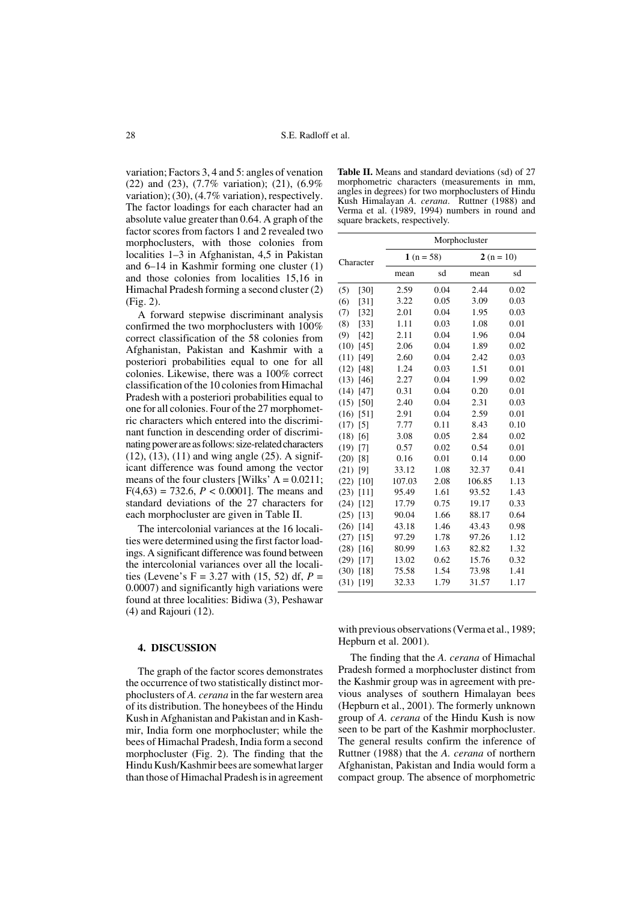variation; Factors 3, 4 and 5: angles of venation (22) and (23), (7.7% variation); (21), (6.9% variation); (30), (4.7% variation), respectively. The factor loadings for each character had an absolute value greater than 0.64. A graph of the factor scores from factors 1 and 2 revealed two morphoclusters, with those colonies from localities 1–3 in Afghanistan, 4,5 in Pakistan and 6–14 in Kashmir forming one cluster (1) and those colonies from localities 15,16 in Himachal Pradesh forming a second cluster (2) (Fig. 2).

A forward stepwise discriminant analysis confirmed the two morphoclusters with 100% correct classification of the 58 colonies from Afghanistan, Pakistan and Kashmir with a posteriori probabilities equal to one for all colonies. Likewise, there was a 100% correct classification of the 10 colonies from Himachal Pradesh with a posteriori probabilities equal to one for all colonies. Four of the 27 morphometric characters which entered into the discriminant function in descending order of discriminating power are as follows: size-related characters (12), (13), (11) and wing angle (25). A significant difference was found among the vector means of the four clusters [Wilks'  $\Lambda = 0.0211$ ;  $F(4,63) = 732.6, P < 0.0001$ . The means and standard deviations of the 27 characters for each morphocluster are given in Table II.

The intercolonial variances at the 16 localities were determined using the first factor loadings. A significant difference was found between the intercolonial variances over all the localities (Levene's  $F = 3.27$  with (15, 52) df,  $P =$ 0.0007) and significantly high variations were found at three localities: Bidiwa (3), Peshawar (4) and Rajouri (12).

## **4. DISCUSSION**

The graph of the factor scores demonstrates the occurrence of two statistically distinct morphoclusters of *A. cerana* in the far western area of its distribution. The honeybees of the Hindu Kush in Afghanistan and Pakistan and in Kashmir, India form one morphocluster; while the bees of Himachal Pradesh, India form a second morphocluster (Fig. 2). The finding that the Hindu Kush/Kashmir bees are somewhat larger than those of Himachal Pradesh is in agreement

**Table II.** Means and standard deviations (sd) of 27 morphometric characters (measurements in mm, angles in degrees) for two morphoclusters of Hindu Kush Himalayan *A. cerana*. Ruttner (1988) and Verma et al. (1989, 1994) numbers in round and square brackets, respectively.

| Character |                    |                | Morphocluster |             |      |  |  |  |
|-----------|--------------------|----------------|---------------|-------------|------|--|--|--|
|           |                    | 1 ( $n = 58$ ) |               | $2(n = 10)$ |      |  |  |  |
|           |                    | mean           | sd            | mean        | sd   |  |  |  |
| (5)       | [30]               | 2.59           | 0.04          | 2.44        | 0.02 |  |  |  |
| (6)       | $\lceil 31 \rceil$ | 3.22           | 0.05          | 3.09        | 0.03 |  |  |  |
| (7)       | $[32]$             | 2.01           | 0.04          | 1.95        | 0.03 |  |  |  |
| (8)       | [33]               | 1.11           | 0.03          | 1.08        | 0.01 |  |  |  |
| (9)       | $[42]$             | 2.11           | 0.04          | 1.96        | 0.04 |  |  |  |
| (10)      | [45]               | 2.06           | 0.04          | 1.89        | 0.02 |  |  |  |
| (11)      | [49]               | 2.60           | 0.04          | 2.42        | 0.03 |  |  |  |
| (12)      | [48]               | 1.24           | 0.03          | 1.51        | 0.01 |  |  |  |
| (13)      | [46]               | 2.27           | 0.04          | 1.99        | 0.02 |  |  |  |
| (14)      | [47]               | 0.31           | 0.04          | 0.20        | 0.01 |  |  |  |
| (15)      | [50]               | 2.40           | 0.04          | 2.31        | 0.03 |  |  |  |
| (16)      | [51]               | 2.91           | 0.04          | 2.59        | 0.01 |  |  |  |
| (17)      | [5]                | 7.77           | 0.11          | 8.43        | 0.10 |  |  |  |
| (18)      | [6]                | 3.08           | 0.05          | 2.84        | 0.02 |  |  |  |
| (19)      | [7]                | 0.57           | 0.02          | 0.54        | 0.01 |  |  |  |
| (20)      | [8]                | 0.16           | 0.01          | 0.14        | 0.00 |  |  |  |
| (21)      | [9]                | 33.12          | 1.08          | 32.37       | 0.41 |  |  |  |
| (22)      | [10]               | 107.03         | 2.08          | 106.85      | 1.13 |  |  |  |
| (23)      | $[11]$             | 95.49          | 1.61          | 93.52       | 1.43 |  |  |  |
| (24)      | $[12]$             | 17.79          | 0.75          | 19.17       | 0.33 |  |  |  |
| (25)      | $[13]$             | 90.04          | 1.66          | 88.17       | 0.64 |  |  |  |
| (26)      | $[14]$             | 43.18          | 1.46          | 43.43       | 0.98 |  |  |  |
| (27)      | $[15]$             | 97.29          | 1.78          | 97.26       | 1.12 |  |  |  |
| (28)      | [16]               | 80.99          | 1.63          | 82.82       | 1.32 |  |  |  |
| (29)      | $[17]$             | 13.02          | 0.62          | 15.76       | 0.32 |  |  |  |
| (30)      | [18]               | 75.58          | 1.54          | 73.98       | 1.41 |  |  |  |
| (31)      | [19]               | 32.33          | 1.79          | 31.57       | 1.17 |  |  |  |

with previous observations (Verma et al., 1989; Hepburn et al. 2001).

The finding that the *A. cerana* of Himachal Pradesh formed a morphocluster distinct from the Kashmir group was in agreement with previous analyses of southern Himalayan bees (Hepburn et al., 2001). The formerly unknown group of *A. cerana* of the Hindu Kush is now seen to be part of the Kashmir morphocluster. The general results confirm the inference of Ruttner (1988) that the *A. cerana* of northern Afghanistan, Pakistan and India would form a compact group. The absence of morphometric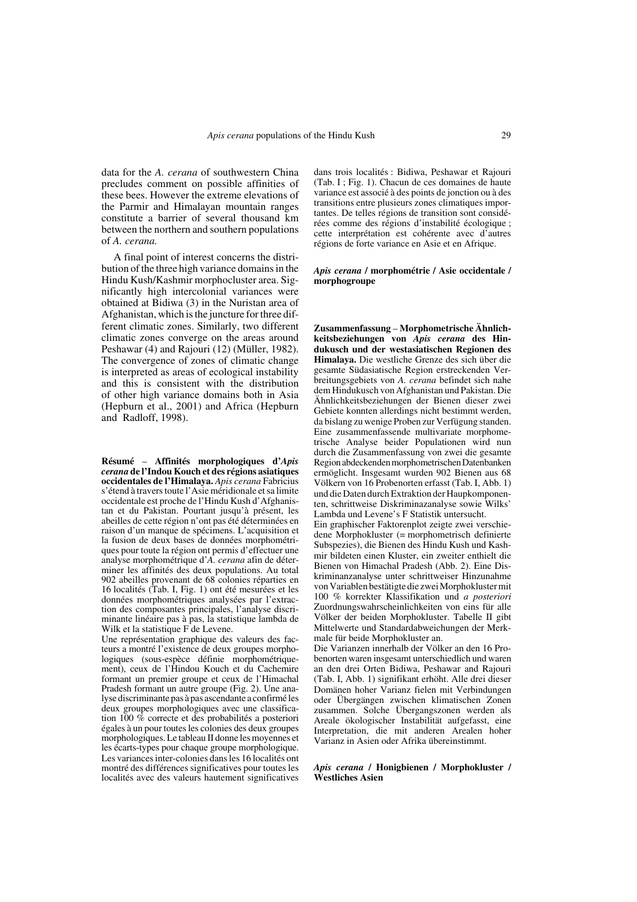data for the *A. cerana* of southwestern China precludes comment on possible affinities of these bees. However the extreme elevations of the Parmir and Himalayan mountain ranges constitute a barrier of several thousand km between the northern and southern populations of *A. cerana.*

A final point of interest concerns the distribution of the three high variance domains in the Hindu Kush/Kashmir morphocluster area. Significantly high intercolonial variances were obtained at Bidiwa (3) in the Nuristan area of Afghanistan, which is the juncture for three different climatic zones. Similarly, two different climatic zones converge on the areas around Peshawar (4) and Rajouri (12) (Müller, 1982). The convergence of zones of climatic change is interpreted as areas of ecological instability and this is consistent with the distribution of other high variance domains both in Asia (Hepburn et al., 2001) and Africa (Hepburn and Radloff, 1998).

**Résumé** – **Affinités morphologiques d'***Apis cerana* **de l'Indou Kouch et des régions asiatiques occidentales de l'Himalaya.** *Apis cerana* Fabricius s'étend à travers toute l'Asie méridionale et sa limite occidentale est proche de l'Hindu Kush d'Afghanistan et du Pakistan. Pourtant jusqu'à présent, les abeilles de cette région n'ont pas été déterminées en raison d'un manque de spécimens. L'acquisition et la fusion de deux bases de données morphométriques pour toute la région ont permis d'effectuer une analyse morphométrique d'*A. cerana* afin de déterminer les affinités des deux populations. Au total 902 abeilles provenant de 68 colonies réparties en 16 localités (Tab. I, Fig. 1) ont été mesurées et les données morphométriques analysées par l'extraction des composantes principales, l'analyse discriminante linéaire pas à pas, la statistique lambda de Wilk et la statistique F de Levene.

Une représentation graphique des valeurs des facteurs a montré l'existence de deux groupes morphologiques (sous-espèce définie morphométriquement), ceux de l'Hindou Kouch et du Cachemire formant un premier groupe et ceux de l'Himachal Pradesh formant un autre groupe (Fig. 2). Une analyse discriminante pas à pas ascendante a confirmé les deux groupes morphologiques avec une classification 100 % correcte et des probabilités a posteriori égales à un pour toutes les colonies des deux groupes morphologiques. Le tableau II donne les moyennes et les écarts-types pour chaque groupe morphologique. Les variances inter-colonies dans les 16 localités ont montré des différences significatives pour toutes les localités avec des valeurs hautement significatives

dans trois localités : Bidiwa, Peshawar et Rajouri (Tab. I ; Fig. 1). Chacun de ces domaines de haute variance est associé à des points de jonction ou à des transitions entre plusieurs zones climatiques importantes. De telles régions de transition sont considérées comme des régions d'instabilité écologique ; cette interprétation est cohérente avec d'autres régions de forte variance en Asie et en Afrique.

#### *Apis cerana* **/ morphométrie / Asie occidentale / morphogroupe**

**Zusammenfassung** – **Morphometrische Ähnlichkeitsbeziehungen von** *Apis cerana* **des Hindukusch und der westasiatischen Regionen des Himalaya.** Die westliche Grenze des sich über die gesamte Südasiatische Region erstreckenden Verbreitungsgebiets von *A. cerana* befindet sich nahe dem Hindukusch von Afghanistan und Pakistan. Die Ähnlichkeitsbeziehungen der Bienen dieser zwei Gebiete konnten allerdings nicht bestimmt werden, da bislang zu wenige Proben zur Verfügung standen. Eine zusammenfassende multivariate morphometrische Analyse beider Populationen wird nun durch die Zusammenfassung von zwei die gesamte Region abdeckenden morphometrischen Datenbanken ermöglicht. Insgesamt wurden 902 Bienen aus 68 Völkern von 16 Probenorten erfasst (Tab. I, Abb. 1) und die Daten durch Extraktion der Haupkomponenten, schrittweise Diskriminazanalyse sowie Wilks' Lambda und Levene's F Statistik untersucht.

Ein graphischer Faktorenplot zeigte zwei verschiedene Morphokluster (= morphometrisch definierte Subspezies), die Bienen des Hindu Kush und Kashmir bildeten einen Kluster, ein zweiter enthielt die Bienen von Himachal Pradesh (Abb. 2). Eine Diskriminanzanalyse unter schrittweiser Hinzunahme von Variablen bestätigte die zwei Morphokluster mit 100 % korrekter Klassifikation und *a posteriori* Zuordnungswahrscheinlichkeiten von eins für alle Völker der beiden Morphokluster. Tabelle II gibt Mittelwerte und Standardabweichungen der Merkmale für beide Morphokluster an.

Die Varianzen innerhalb der Völker an den 16 Probenorten waren insgesamt unterschiedlich und waren an den drei Orten Bidiwa, Peshawar and Rajouri (Tab. I, Abb. 1) signifikant erhöht. Alle drei dieser Domänen hoher Varianz fielen mit Verbindungen oder Übergängen zwischen klimatischen Zonen zusammen. Solche Übergangszonen werden als Areale ökologischer Instabilität aufgefasst, eine Interpretation, die mit anderen Arealen hoher Varianz in Asien oder Afrika übereinstimmt.

*Apis cerana* **/ Honigbienen / Morphokluster / Westliches Asien**